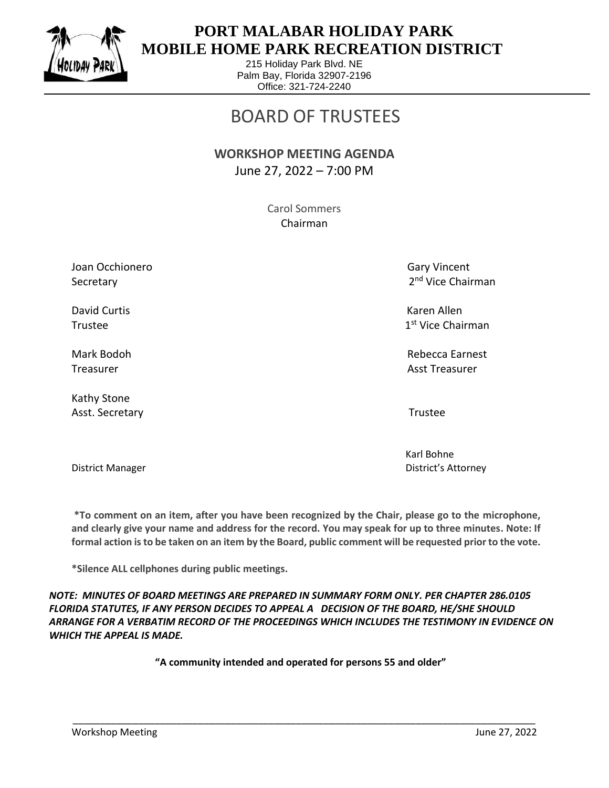

 $\overline{a}$ 

### **PORT MALABAR HOLIDAY PARK MOBILE HOME PARK RECREATION DISTRICT**

215 Holiday Park Blvd. NE Palm Bay, Florida 32907-2196 Office: 321-724-2240

# BOARD OF TRUSTEES

### **WORKSHOP MEETING AGENDA** June 27, 2022 – 7:00 PM

Carol Sommers Chairman

Joan Occhionero Gary Vincent Communication of the Gary Vincent Communication of Gary Vincent Secretary

David Curtis Karen Allen Trustee and the state of the state of the state of the state of the state of the state of the state of the state of the state of the state of the state of the state of the state of the state of the state of the state of th

Kathy Stone Asst. Secretary **Trustee** 

2<sup>nd</sup> Vice Chairman

1<sup>st</sup> Vice Chairman

Mark Bodoh Rebecca Earnest Treasurer Asst Treasurer Asst Treasurer Asst Treasurer Asst Treasurer Asst Treasurer

 Karl Bohne District Manager District's Attorney

**\*To comment on an item, after you have been recognized by the Chair, please go to the microphone, and clearly give your name and address for the record. You may speak for up to three minutes. Note: If formal action is to be taken on an item by the Board, public comment will be requested prior to the vote.**

**\*Silence ALL cellphones during public meetings.**

*NOTE: MINUTES OF BOARD MEETINGS ARE PREPARED IN SUMMARY FORM ONLY. PER CHAPTER 286.0105 FLORIDA STATUTES, IF ANY PERSON DECIDES TO APPEAL A DECISION OF THE BOARD, HE/SHE SHOULD ARRANGE FOR A VERBATIM RECORD OF THE PROCEEDINGS WHICH INCLUDES THE TESTIMONY IN EVIDENCE ON WHICH THE APPEAL IS MADE.*

**"A community intended and operated for persons 55 and older"**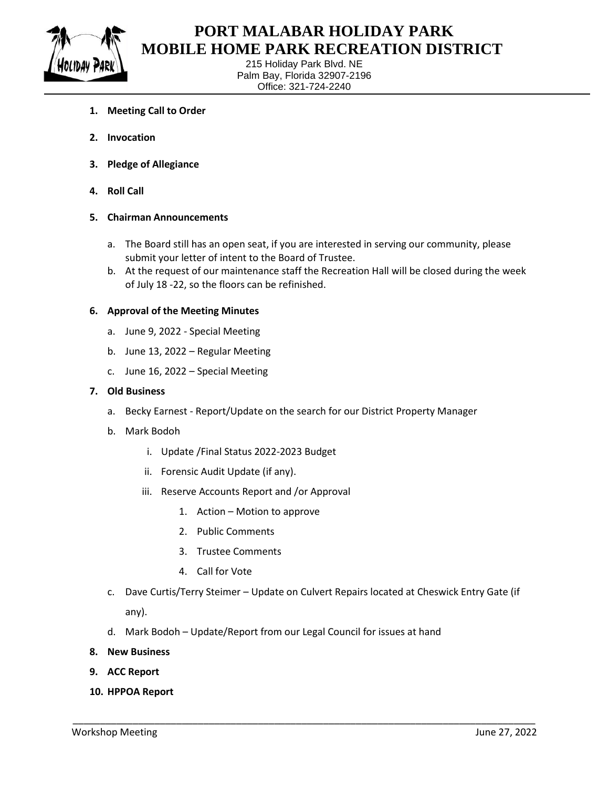

 $\overline{a}$ 

### **PORT MALABAR HOLIDAY PARK MOBILE HOME PARK RECREATION DISTRICT**

215 Holiday Park Blvd. NE Palm Bay, Florida 32907-2196 Office: 321-724-2240

- **1. Meeting Call to Order**
- **2. Invocation**
- **3. Pledge of Allegiance**
- **4. Roll Call**

#### **5. Chairman Announcements**

- a. The Board still has an open seat, if you are interested in serving our community, please submit your letter of intent to the Board of Trustee.
- b. At the request of our maintenance staff the Recreation Hall will be closed during the week of July 18 -22, so the floors can be refinished.

#### **6. Approval of the Meeting Minutes**

- a. June 9, 2022 Special Meeting
- b. June 13, 2022 Regular Meeting
- c. June 16, 2022 Special Meeting

#### **7. Old Business**

- a. Becky Earnest Report/Update on the search for our District Property Manager
- b. Mark Bodoh
	- i. Update /Final Status 2022-2023 Budget
	- ii. Forensic Audit Update (if any).
	- iii. Reserve Accounts Report and /or Approval
		- 1. Action Motion to approve
		- 2. Public Comments
		- 3. Trustee Comments
		- 4. Call for Vote
- c. Dave Curtis/Terry Steimer Update on Culvert Repairs located at Cheswick Entry Gate (if any).

\_\_\_\_\_\_\_\_\_\_\_\_\_\_\_\_\_\_\_\_\_\_\_\_\_\_\_\_\_\_\_\_\_\_\_\_\_\_\_\_\_\_\_\_\_\_\_\_\_\_\_\_\_\_\_\_\_\_\_\_\_\_\_\_\_\_\_\_\_\_\_\_\_\_\_\_\_\_\_\_\_\_\_\_\_

- d. Mark Bodoh Update/Report from our Legal Council for issues at hand
- **8. New Business**
- **9. ACC Report**
- **10. HPPOA Report**